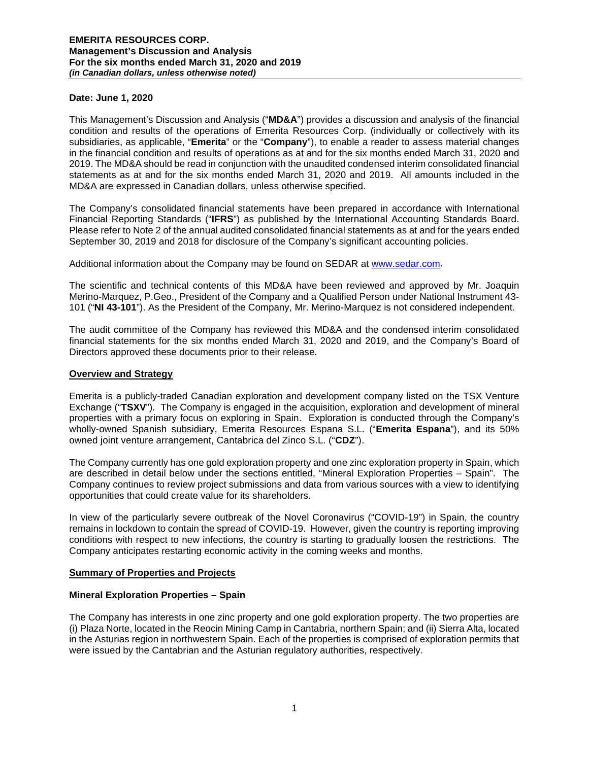#### **Date: June 1, 2020**

This Management's Discussion and Analysis ("**MD&A**") provides a discussion and analysis of the financial condition and results of the operations of Emerita Resources Corp. (individually or collectively with its subsidiaries, as applicable, "**Emerita**" or the "**Company**"), to enable a reader to assess material changes in the financial condition and results of operations as at and for the six months ended March 31, 2020 and 2019. The MD&A should be read in conjunction with the unaudited condensed interim consolidated financial statements as at and for the six months ended March 31, 2020 and 2019. All amounts included in the MD&A are expressed in Canadian dollars, unless otherwise specified.

The Company's consolidated financial statements have been prepared in accordance with International Financial Reporting Standards ("**IFRS**") as published by the International Accounting Standards Board. Please refer to Note 2 of the annual audited consolidated financial statements as at and for the years ended September 30, 2019 and 2018 for disclosure of the Company's significant accounting policies.

Additional information about the Company may be found on SEDAR at [www.sedar.com.](http://www.sedar.com/)

The scientific and technical contents of this MD&A have been reviewed and approved by Mr. Joaquin Merino-Marquez, P.Geo., President of the Company and a Qualified Person under National Instrument 43- 101 ("**NI 43-101**"). As the President of the Company, Mr. Merino-Marquez is not considered independent.

The audit committee of the Company has reviewed this MD&A and the condensed interim consolidated financial statements for the six months ended March 31, 2020 and 2019, and the Company's Board of Directors approved these documents prior to their release.

#### **Overview and Strategy**

Emerita is a publicly-traded Canadian exploration and development company listed on the TSX Venture Exchange ("**TSXV**"). The Company is engaged in the acquisition, exploration and development of mineral properties with a primary focus on exploring in Spain. Exploration is conducted through the Company's wholly-owned Spanish subsidiary, Emerita Resources Espana S.L. ("**Emerita Espana**"), and its 50% owned joint venture arrangement, Cantabrica del Zinco S.L. ("**CDZ**").

The Company currently has one gold exploration property and one zinc exploration property in Spain, which are described in detail below under the sections entitled, "Mineral Exploration Properties – Spain". The Company continues to review project submissions and data from various sources with a view to identifying opportunities that could create value for its shareholders.

In view of the particularly severe outbreak of the Novel Coronavirus ("COVID-19") in Spain, the country remains in lockdown to contain the spread of COVID-19. However, given the country is reporting improving conditions with respect to new infections, the country is starting to gradually loosen the restrictions. The Company anticipates restarting economic activity in the coming weeks and months.

### **Summary of Properties and Projects**

#### **Mineral Exploration Properties – Spain**

The Company has interests in one zinc property and one gold exploration property. The two properties are (i) Plaza Norte, located in the Reocin Mining Camp in Cantabria, northern Spain; and (ii) Sierra Alta, located in the Asturias region in northwestern Spain. Each of the properties is comprised of exploration permits that were issued by the Cantabrian and the Asturian regulatory authorities, respectively.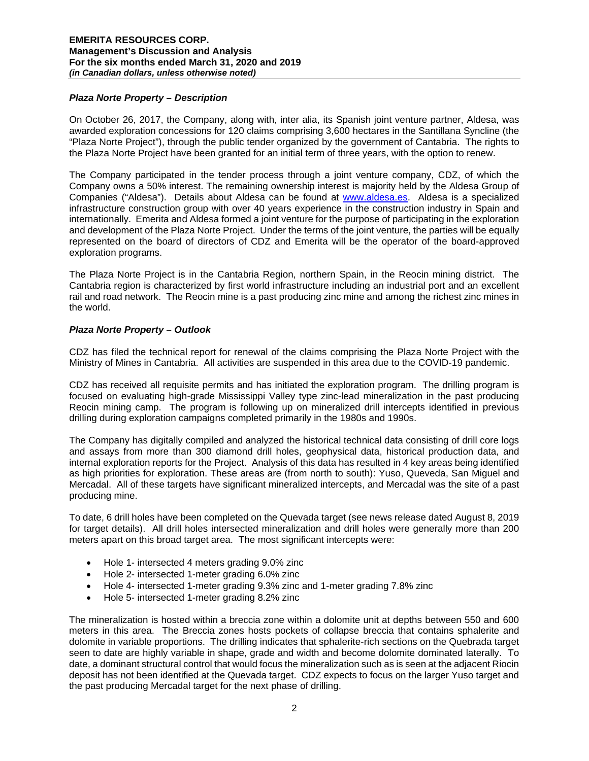## *Plaza Norte Property – Description*

On October 26, 2017, the Company, along with, inter alia, its Spanish joint venture partner, Aldesa, was awarded exploration concessions for 120 claims comprising 3,600 hectares in the Santillana Syncline (the "Plaza Norte Project"), through the public tender organized by the government of Cantabria. The rights to the Plaza Norte Project have been granted for an initial term of three years, with the option to renew.

The Company participated in the tender process through a joint venture company, CDZ, of which the Company owns a 50% interest. The remaining ownership interest is majority held by the Aldesa Group of Companies ("Aldesa"). Details about Aldesa can be found at [www.aldesa.es.](http://www.aldesa.es/) Aldesa is a specialized infrastructure construction group with over 40 years experience in the construction industry in Spain and internationally. Emerita and Aldesa formed a joint venture for the purpose of participating in the exploration and development of the Plaza Norte Project. Under the terms of the joint venture, the parties will be equally represented on the board of directors of CDZ and Emerita will be the operator of the board-approved exploration programs.

The Plaza Norte Project is in the Cantabria Region, northern Spain, in the Reocin mining district. The Cantabria region is characterized by first world infrastructure including an industrial port and an excellent rail and road network. The Reocin mine is a past producing zinc mine and among the richest zinc mines in the world.

# *Plaza Norte Property – Outlook*

CDZ has filed the technical report for renewal of the claims comprising the Plaza Norte Project with the Ministry of Mines in Cantabria. All activities are suspended in this area due to the COVID-19 pandemic.

CDZ has received all requisite permits and has initiated the exploration program. The drilling program is focused on evaluating high-grade Mississippi Valley type zinc-lead mineralization in the past producing Reocin mining camp. The program is following up on mineralized drill intercepts identified in previous drilling during exploration campaigns completed primarily in the 1980s and 1990s.

The Company has digitally compiled and analyzed the historical technical data consisting of drill core logs and assays from more than 300 diamond drill holes, geophysical data, historical production data, and internal exploration reports for the Project. Analysis of this data has resulted in 4 key areas being identified as high priorities for exploration. These areas are (from north to south): Yuso, Queveda, San Miguel and Mercadal. All of these targets have significant mineralized intercepts, and Mercadal was the site of a past producing mine.

To date, 6 drill holes have been completed on the Quevada target (see news release dated August 8, 2019 for target details). All drill holes intersected mineralization and drill holes were generally more than 200 meters apart on this broad target area. The most significant intercepts were:

- Hole 1- intersected 4 meters grading 9.0% zinc
- Hole 2- intersected 1-meter grading 6.0% zinc
- Hole 4- intersected 1-meter grading 9.3% zinc and 1-meter grading 7.8% zinc
- Hole 5- intersected 1-meter grading 8.2% zinc

The mineralization is hosted within a breccia zone within a dolomite unit at depths between 550 and 600 meters in this area. The Breccia zones hosts pockets of collapse breccia that contains sphalerite and dolomite in variable proportions. The drilling indicates that sphalerite-rich sections on the Quebrada target seen to date are highly variable in shape, grade and width and become dolomite dominated laterally. To date, a dominant structural control that would focus the mineralization such as is seen at the adjacent Riocin deposit has not been identified at the Quevada target. CDZ expects to focus on the larger Yuso target and the past producing Mercadal target for the next phase of drilling.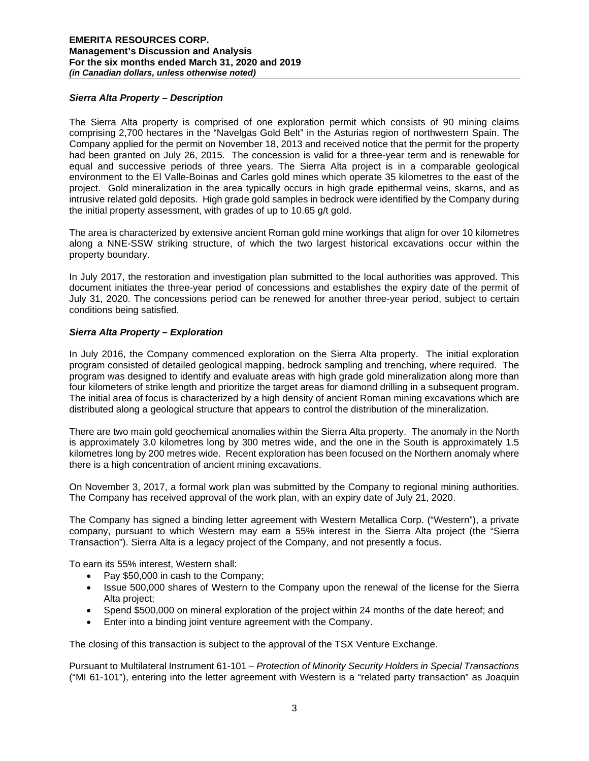## *Sierra Alta Property – Description*

The Sierra Alta property is comprised of one exploration permit which consists of 90 mining claims comprising 2,700 hectares in the "Navelgas Gold Belt" in the Asturias region of northwestern Spain. The Company applied for the permit on November 18, 2013 and received notice that the permit for the property had been granted on July 26, 2015. The concession is valid for a three-year term and is renewable for equal and successive periods of three years. The Sierra Alta project is in a comparable geological environment to the El Valle-Boinas and Carles gold mines which operate 35 kilometres to the east of the project. Gold mineralization in the area typically occurs in high grade epithermal veins, skarns, and as intrusive related gold deposits. High grade gold samples in bedrock were identified by the Company during the initial property assessment, with grades of up to 10.65 g/t gold.

The area is characterized by extensive ancient Roman gold mine workings that align for over 10 kilometres along a NNE-SSW striking structure, of which the two largest historical excavations occur within the property boundary.

In July 2017, the restoration and investigation plan submitted to the local authorities was approved. This document initiates the three-year period of concessions and establishes the expiry date of the permit of July 31, 2020. The concessions period can be renewed for another three-year period, subject to certain conditions being satisfied.

# *Sierra Alta Property – Exploration*

In July 2016, the Company commenced exploration on the Sierra Alta property. The initial exploration program consisted of detailed geological mapping, bedrock sampling and trenching, where required. The program was designed to identify and evaluate areas with high grade gold mineralization along more than four kilometers of strike length and prioritize the target areas for diamond drilling in a subsequent program. The initial area of focus is characterized by a high density of ancient Roman mining excavations which are distributed along a geological structure that appears to control the distribution of the mineralization.

There are two main gold geochemical anomalies within the Sierra Alta property. The anomaly in the North is approximately 3.0 kilometres long by 300 metres wide, and the one in the South is approximately 1.5 kilometres long by 200 metres wide. Recent exploration has been focused on the Northern anomaly where there is a high concentration of ancient mining excavations.

On November 3, 2017, a formal work plan was submitted by the Company to regional mining authorities. The Company has received approval of the work plan, with an expiry date of July 21, 2020.

The Company has signed a binding letter agreement with Western Metallica Corp. ("Western"), a private company, pursuant to which Western may earn a 55% interest in the Sierra Alta project (the "Sierra Transaction"). Sierra Alta is a legacy project of the Company, and not presently a focus.

To earn its 55% interest, Western shall:

- Pay \$50,000 in cash to the Company;
- Issue 500,000 shares of Western to the Company upon the renewal of the license for the Sierra Alta project;
- Spend \$500,000 on mineral exploration of the project within 24 months of the date hereof; and
- Enter into a binding joint venture agreement with the Company.

The closing of this transaction is subject to the approval of the TSX Venture Exchange.

Pursuant to Multilateral Instrument 61-101 – *Protection of Minority Security Holders in Special Transactions*  ("MI 61-101"), entering into the letter agreement with Western is a "related party transaction" as Joaquin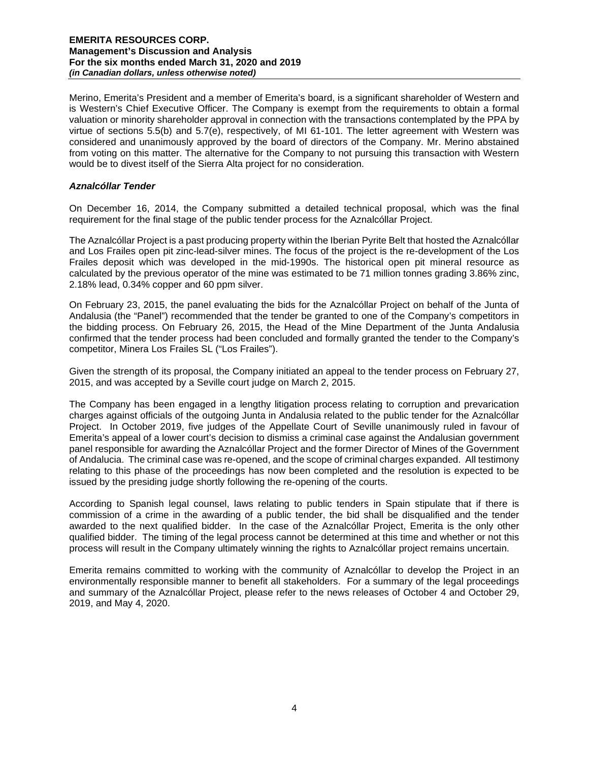Merino, Emerita's President and a member of Emerita's board, is a significant shareholder of Western and is Western's Chief Executive Officer. The Company is exempt from the requirements to obtain a formal valuation or minority shareholder approval in connection with the transactions contemplated by the PPA by virtue of sections 5.5(b) and 5.7(e), respectively, of MI 61-101. The letter agreement with Western was considered and unanimously approved by the board of directors of the Company. Mr. Merino abstained from voting on this matter. The alternative for the Company to not pursuing this transaction with Western would be to divest itself of the Sierra Alta project for no consideration.

### *Aznalcóllar Tender*

On December 16, 2014, the Company submitted a detailed technical proposal, which was the final requirement for the final stage of the public tender process for the Aznalcóllar Project.

The Aznalcóllar Project is a past producing property within the Iberian Pyrite Belt that hosted the Aznalcóllar and Los Frailes open pit zinc-lead-silver mines. The focus of the project is the re-development of the Los Frailes deposit which was developed in the mid-1990s. The historical open pit mineral resource as calculated by the previous operator of the mine was estimated to be 71 million tonnes grading 3.86% zinc, 2.18% lead, 0.34% copper and 60 ppm silver.

On February 23, 2015, the panel evaluating the bids for the Aznalcóllar Project on behalf of the Junta of Andalusia (the "Panel") recommended that the tender be granted to one of the Company's competitors in the bidding process. On February 26, 2015, the Head of the Mine Department of the Junta Andalusia confirmed that the tender process had been concluded and formally granted the tender to the Company's competitor, Minera Los Frailes SL ("Los Frailes").

Given the strength of its proposal, the Company initiated an appeal to the tender process on February 27, 2015, and was accepted by a Seville court judge on March 2, 2015.

The Company has been engaged in a lengthy litigation process relating to corruption and prevarication charges against officials of the outgoing Junta in Andalusia related to the public tender for the Aznalcóllar Project. In October 2019, five judges of the Appellate Court of Seville unanimously ruled in favour of Emerita's appeal of a lower court's decision to dismiss a criminal case against the Andalusian government panel responsible for awarding the Aznalcóllar Project and the former Director of Mines of the Government of Andalucia. The criminal case was re-opened, and the scope of criminal charges expanded. All testimony relating to this phase of the proceedings has now been completed and the resolution is expected to be issued by the presiding judge shortly following the re-opening of the courts.

According to Spanish legal counsel, laws relating to public tenders in Spain stipulate that if there is commission of a crime in the awarding of a public tender, the bid shall be disqualified and the tender awarded to the next qualified bidder. In the case of the Aznalcóllar Project, Emerita is the only other qualified bidder. The timing of the legal process cannot be determined at this time and whether or not this process will result in the Company ultimately winning the rights to Aznalcóllar project remains uncertain.

Emerita remains committed to working with the community of Aznalcóllar to develop the Project in an environmentally responsible manner to benefit all stakeholders. For a summary of the legal proceedings and summary of the Aznalcóllar Project, please refer to the news releases of October 4 and October 29, 2019, and May 4, 2020.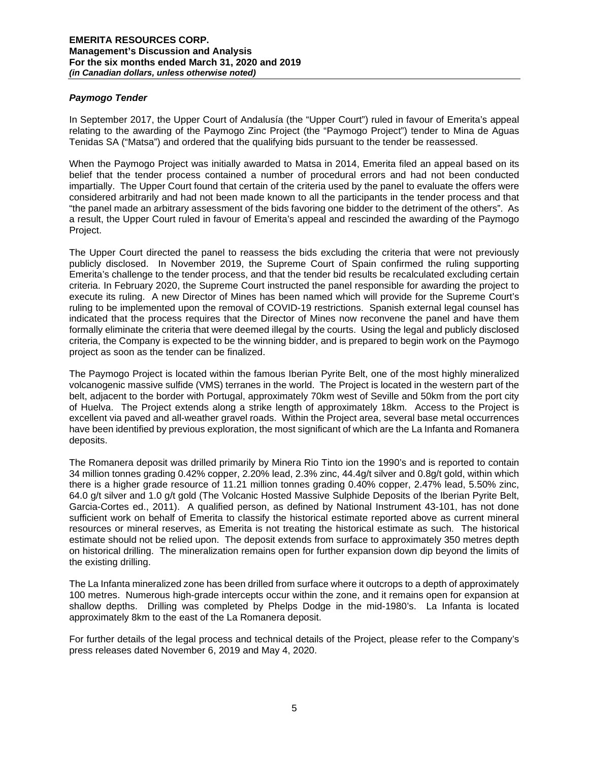## *Paymogo Tender*

In September 2017, the Upper Court of Andalusía (the "Upper Court") ruled in favour of Emerita's appeal relating to the awarding of the Paymogo Zinc Project (the "Paymogo Project") tender to Mina de Aguas Tenidas SA ("Matsa") and ordered that the qualifying bids pursuant to the tender be reassessed.

When the Paymogo Project was initially awarded to Matsa in 2014, Emerita filed an appeal based on its belief that the tender process contained a number of procedural errors and had not been conducted impartially. The Upper Court found that certain of the criteria used by the panel to evaluate the offers were considered arbitrarily and had not been made known to all the participants in the tender process and that "the panel made an arbitrary assessment of the bids favoring one bidder to the detriment of the others". As a result, the Upper Court ruled in favour of Emerita's appeal and rescinded the awarding of the Paymogo Project.

The Upper Court directed the panel to reassess the bids excluding the criteria that were not previously publicly disclosed. In November 2019, the Supreme Court of Spain confirmed the ruling supporting Emerita's challenge to the tender process, and that the tender bid results be recalculated excluding certain criteria. In February 2020, the Supreme Court instructed the panel responsible for awarding the project to execute its ruling. A new Director of Mines has been named which will provide for the Supreme Court's ruling to be implemented upon the removal of COVID-19 restrictions. Spanish external legal counsel has indicated that the process requires that the Director of Mines now reconvene the panel and have them formally eliminate the criteria that were deemed illegal by the courts. Using the legal and publicly disclosed criteria, the Company is expected to be the winning bidder, and is prepared to begin work on the Paymogo project as soon as the tender can be finalized.

The Paymogo Project is located within the famous Iberian Pyrite Belt, one of the most highly mineralized volcanogenic massive sulfide (VMS) terranes in the world. The Project is located in the western part of the belt, adjacent to the border with Portugal, approximately 70km west of Seville and 50km from the port city of Huelva. The Project extends along a strike length of approximately 18km. Access to the Project is excellent via paved and all-weather gravel roads. Within the Project area, several base metal occurrences have been identified by previous exploration, the most significant of which are the La Infanta and Romanera deposits.

The Romanera deposit was drilled primarily by Minera Rio Tinto ion the 1990's and is reported to contain 34 million tonnes grading 0.42% copper, 2.20% lead, 2.3% zinc, 44.4g/t silver and 0.8g/t gold, within which there is a higher grade resource of 11.21 million tonnes grading 0.40% copper, 2.47% lead, 5.50% zinc, 64.0 g/t silver and 1.0 g/t gold (The Volcanic Hosted Massive Sulphide Deposits of the Iberian Pyrite Belt, Garcia-Cortes ed., 2011). A qualified person, as defined by National Instrument 43-101, has not done sufficient work on behalf of Emerita to classify the historical estimate reported above as current mineral resources or mineral reserves, as Emerita is not treating the historical estimate as such. The historical estimate should not be relied upon. The deposit extends from surface to approximately 350 metres depth on historical drilling. The mineralization remains open for further expansion down dip beyond the limits of the existing drilling.

The La Infanta mineralized zone has been drilled from surface where it outcrops to a depth of approximately 100 metres. Numerous high-grade intercepts occur within the zone, and it remains open for expansion at shallow depths. Drilling was completed by Phelps Dodge in the mid-1980's. La Infanta is located approximately 8km to the east of the La Romanera deposit.

For further details of the legal process and technical details of the Project, please refer to the Company's press releases dated November 6, 2019 and May 4, 2020.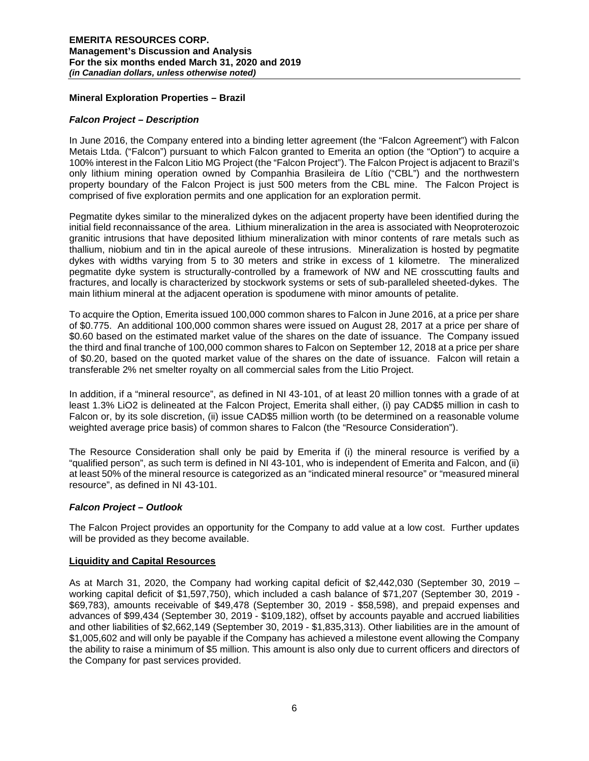### **Mineral Exploration Properties – Brazil**

### *Falcon Project – Description*

In June 2016, the Company entered into a binding letter agreement (the "Falcon Agreement") with Falcon Metais Ltda. ("Falcon") pursuant to which Falcon granted to Emerita an option (the "Option") to acquire a 100% interest in the Falcon Litio MG Project (the "Falcon Project"). The Falcon Project is adjacent to Brazil's only lithium mining operation owned by Companhia Brasileira de Lítio ("CBL") and the northwestern property boundary of the Falcon Project is just 500 meters from the CBL mine. The Falcon Project is comprised of five exploration permits and one application for an exploration permit.

Pegmatite dykes similar to the mineralized dykes on the adjacent property have been identified during the initial field reconnaissance of the area. Lithium mineralization in the area is associated with Neoproterozoic granitic intrusions that have deposited lithium mineralization with minor contents of rare metals such as thallium, niobium and tin in the apical aureole of these intrusions. Mineralization is hosted by pegmatite dykes with widths varying from 5 to 30 meters and strike in excess of 1 kilometre. The mineralized pegmatite dyke system is structurally-controlled by a framework of NW and NE crosscutting faults and fractures, and locally is characterized by stockwork systems or sets of sub-paralleled sheeted-dykes. The main lithium mineral at the adjacent operation is spodumene with minor amounts of petalite.

To acquire the Option, Emerita issued 100,000 common shares to Falcon in June 2016, at a price per share of \$0.775. An additional 100,000 common shares were issued on August 28, 2017 at a price per share of \$0.60 based on the estimated market value of the shares on the date of issuance. The Company issued the third and final tranche of 100,000 common shares to Falcon on September 12, 2018 at a price per share of \$0.20, based on the quoted market value of the shares on the date of issuance. Falcon will retain a transferable 2% net smelter royalty on all commercial sales from the Litio Project.

In addition, if a "mineral resource", as defined in NI 43-101, of at least 20 million tonnes with a grade of at least 1.3% LiO2 is delineated at the Falcon Project, Emerita shall either, (i) pay CAD\$5 million in cash to Falcon or, by its sole discretion, (ii) issue CAD\$5 million worth (to be determined on a reasonable volume weighted average price basis) of common shares to Falcon (the "Resource Consideration").

The Resource Consideration shall only be paid by Emerita if (i) the mineral resource is verified by a "qualified person", as such term is defined in NI 43-101, who is independent of Emerita and Falcon, and (ii) at least 50% of the mineral resource is categorized as an "indicated mineral resource" or "measured mineral resource", as defined in NI 43-101.

### *Falcon Project – Outlook*

The Falcon Project provides an opportunity for the Company to add value at a low cost. Further updates will be provided as they become available.

### **Liquidity and Capital Resources**

As at March 31, 2020, the Company had working capital deficit of \$2,442,030 (September 30, 2019 – working capital deficit of \$1,597,750), which included a cash balance of \$71,207 (September 30, 2019 - \$69,783), amounts receivable of \$49,478 (September 30, 2019 - \$58,598), and prepaid expenses and advances of \$99,434 (September 30, 2019 - \$109,182), offset by accounts payable and accrued liabilities and other liabilities of \$2,662,149 (September 30, 2019 - \$1,835,313). Other liabilities are in the amount of \$1,005,602 and will only be payable if the Company has achieved a milestone event allowing the Company the ability to raise a minimum of \$5 million. This amount is also only due to current officers and directors of the Company for past services provided.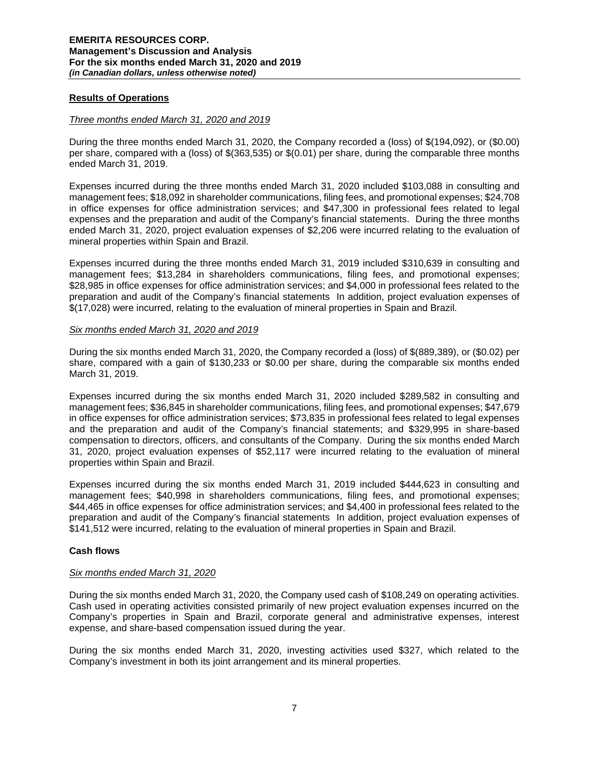## **Results of Operations**

#### *Three months ended March 31, 2020 and 2019*

During the three months ended March 31, 2020, the Company recorded a (loss) of \$(194,092), or (\$0.00) per share, compared with a (loss) of \$(363,535) or \$(0.01) per share, during the comparable three months ended March 31, 2019.

Expenses incurred during the three months ended March 31, 2020 included \$103,088 in consulting and management fees; \$18,092 in shareholder communications, filing fees, and promotional expenses; \$24,708 in office expenses for office administration services; and \$47,300 in professional fees related to legal expenses and the preparation and audit of the Company's financial statements. During the three months ended March 31, 2020, project evaluation expenses of \$2,206 were incurred relating to the evaluation of mineral properties within Spain and Brazil.

Expenses incurred during the three months ended March 31, 2019 included \$310,639 in consulting and management fees; \$13,284 in shareholders communications, filing fees, and promotional expenses; \$28,985 in office expenses for office administration services; and \$4,000 in professional fees related to the preparation and audit of the Company's financial statements In addition, project evaluation expenses of \$(17,028) were incurred, relating to the evaluation of mineral properties in Spain and Brazil.

#### *Six months ended March 31, 2020 and 2019*

During the six months ended March 31, 2020, the Company recorded a (loss) of \$(889,389), or (\$0.02) per share, compared with a gain of \$130,233 or \$0.00 per share, during the comparable six months ended March 31, 2019.

Expenses incurred during the six months ended March 31, 2020 included \$289,582 in consulting and management fees; \$36,845 in shareholder communications, filing fees, and promotional expenses; \$47,679 in office expenses for office administration services; \$73,835 in professional fees related to legal expenses and the preparation and audit of the Company's financial statements; and \$329,995 in share-based compensation to directors, officers, and consultants of the Company. During the six months ended March 31, 2020, project evaluation expenses of \$52,117 were incurred relating to the evaluation of mineral properties within Spain and Brazil.

Expenses incurred during the six months ended March 31, 2019 included \$444,623 in consulting and management fees; \$40,998 in shareholders communications, filing fees, and promotional expenses; \$44,465 in office expenses for office administration services; and \$4,400 in professional fees related to the preparation and audit of the Company's financial statements In addition, project evaluation expenses of \$141,512 were incurred, relating to the evaluation of mineral properties in Spain and Brazil.

### **Cash flows**

### *Six months ended March 31, 2020*

During the six months ended March 31, 2020, the Company used cash of \$108,249 on operating activities. Cash used in operating activities consisted primarily of new project evaluation expenses incurred on the Company's properties in Spain and Brazil, corporate general and administrative expenses, interest expense, and share-based compensation issued during the year.

During the six months ended March 31, 2020, investing activities used \$327, which related to the Company's investment in both its joint arrangement and its mineral properties.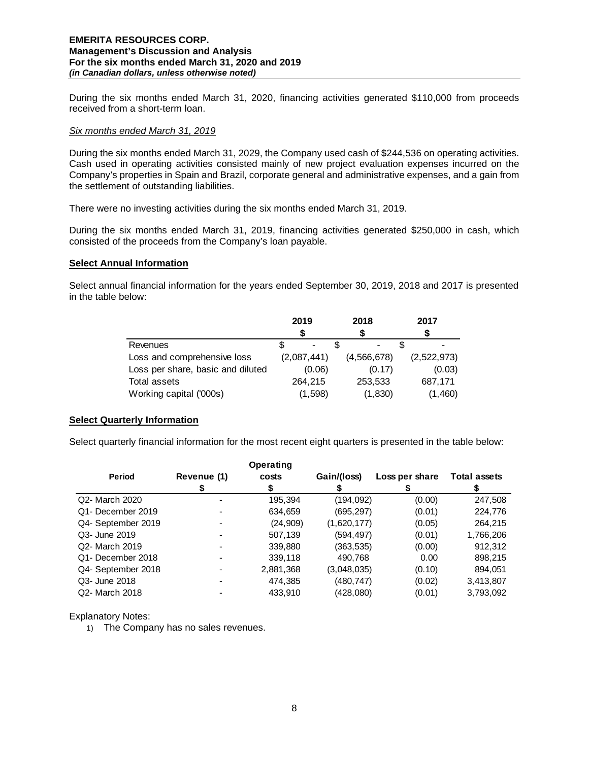During the six months ended March 31, 2020, financing activities generated \$110,000 from proceeds received from a short-term loan.

#### *Six months ended March 31, 2019*

During the six months ended March 31, 2029, the Company used cash of \$244,536 on operating activities. Cash used in operating activities consisted mainly of new project evaluation expenses incurred on the Company's properties in Spain and Brazil, corporate general and administrative expenses, and a gain from the settlement of outstanding liabilities.

There were no investing activities during the six months ended March 31, 2019.

During the six months ended March 31, 2019, financing activities generated \$250,000 in cash, which consisted of the proceeds from the Company's loan payable.

#### **Select Annual Information**

Select annual financial information for the years ended September 30, 2019, 2018 and 2017 is presented in the table below:

|                                   | 2019        | 2018        | 2017        |  |  |
|-----------------------------------|-------------|-------------|-------------|--|--|
|                                   |             |             |             |  |  |
| Revenues                          |             | -           |             |  |  |
| Loss and comprehensive loss       | (2,087,441) | (4,566,678) | (2,522,973) |  |  |
| Loss per share, basic and diluted | (0.06)      | (0.17)      | (0.03)      |  |  |
| Total assets                      | 264.215     | 253,533     | 687,171     |  |  |
| Working capital ('000s)           | (1,598)     | (1,830)     | (1,460)     |  |  |

### **Select Quarterly Information**

Select quarterly financial information for the most recent eight quarters is presented in the table below:

|                    |             | Operating |             |                |                     |
|--------------------|-------------|-----------|-------------|----------------|---------------------|
| Period             | Revenue (1) | costs     | Gain/(loss) | Loss per share | <b>Total assets</b> |
|                    |             |           |             |                |                     |
| Q2- March 2020     |             | 195,394   | (194,092)   | (0.00)         | 247,508             |
| Q1- December 2019  |             | 634,659   | (695, 297)  | (0.01)         | 224,776             |
| Q4- September 2019 |             | (24,909)  | (1,620,177) | (0.05)         | 264,215             |
| Q3- June 2019      |             | 507,139   | (594, 497)  | (0.01)         | 1,766,206           |
| Q2- March 2019     |             | 339,880   | (363,535)   | (0.00)         | 912,312             |
| Q1- December 2018  |             | 339,118   | 490,768     | 0.00           | 898,215             |
| Q4- September 2018 |             | 2,881,368 | (3,048,035) | (0.10)         | 894,051             |
| Q3- June 2018      |             | 474,385   | (480,747)   | (0.02)         | 3,413,807           |
| Q2- March 2018     |             | 433.910   | (428,080)   | (0.01)         | 3,793,092           |

Explanatory Notes:

1) The Company has no sales revenues.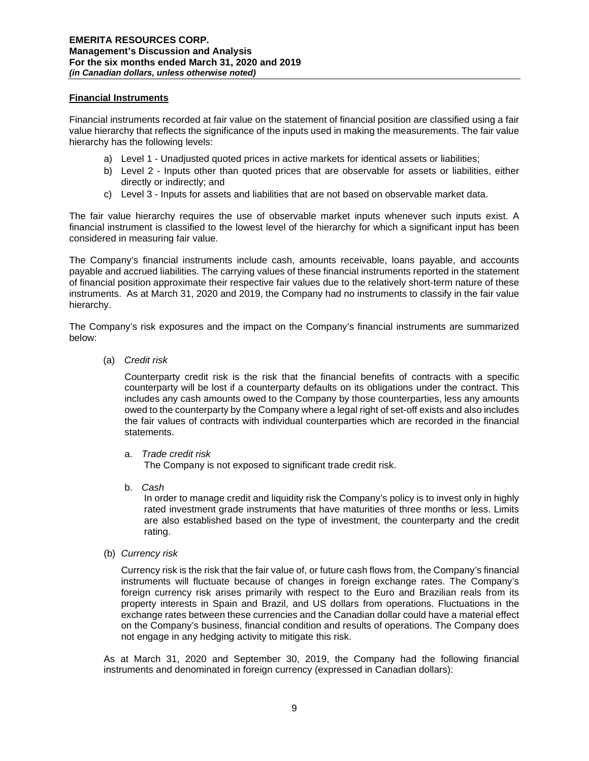## **Financial Instruments**

Financial instruments recorded at fair value on the statement of financial position are classified using a fair value hierarchy that reflects the significance of the inputs used in making the measurements. The fair value hierarchy has the following levels:

- a) Level 1 Unadjusted quoted prices in active markets for identical assets or liabilities;
- b) Level 2 Inputs other than quoted prices that are observable for assets or liabilities, either directly or indirectly; and
- c) Level 3 Inputs for assets and liabilities that are not based on observable market data.

The fair value hierarchy requires the use of observable market inputs whenever such inputs exist. A financial instrument is classified to the lowest level of the hierarchy for which a significant input has been considered in measuring fair value.

The Company's financial instruments include cash, amounts receivable, loans payable, and accounts payable and accrued liabilities. The carrying values of these financial instruments reported in the statement of financial position approximate their respective fair values due to the relatively short-term nature of these instruments. As at March 31, 2020 and 2019, the Company had no instruments to classify in the fair value hierarchy.

The Company's risk exposures and the impact on the Company's financial instruments are summarized below:

(a) *Credit risk* 

Counterparty credit risk is the risk that the financial benefits of contracts with a specific counterparty will be lost if a counterparty defaults on its obligations under the contract. This includes any cash amounts owed to the Company by those counterparties, less any amounts owed to the counterparty by the Company where a legal right of set-off exists and also includes the fair values of contracts with individual counterparties which are recorded in the financial statements.

a. *Trade credit risk*

The Company is not exposed to significant trade credit risk.

b. *Cash* 

In order to manage credit and liquidity risk the Company's policy is to invest only in highly rated investment grade instruments that have maturities of three months or less. Limits are also established based on the type of investment, the counterparty and the credit rating.

(b) *Currency risk* 

Currency risk is the risk that the fair value of, or future cash flows from, the Company's financial instruments will fluctuate because of changes in foreign exchange rates. The Company's foreign currency risk arises primarily with respect to the Euro and Brazilian reals from its property interests in Spain and Brazil, and US dollars from operations. Fluctuations in the exchange rates between these currencies and the Canadian dollar could have a material effect on the Company's business, financial condition and results of operations. The Company does not engage in any hedging activity to mitigate this risk.

As at March 31, 2020 and September 30, 2019, the Company had the following financial instruments and denominated in foreign currency (expressed in Canadian dollars):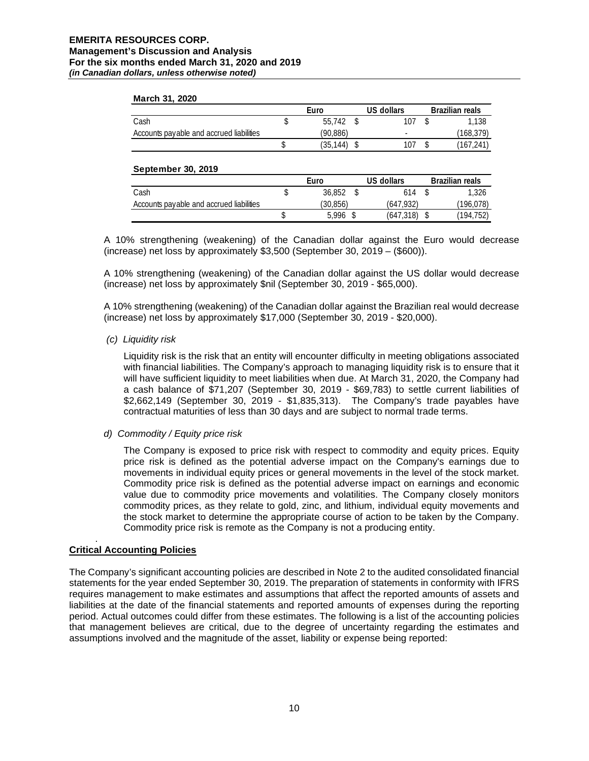#### **March 31, 2020**

|                                          | Euro |          |  | US dollars               | <b>Brazilian reals</b> |
|------------------------------------------|------|----------|--|--------------------------|------------------------|
| Cash                                     |      | 55.742   |  | 107                      | l.138                  |
| Accounts payable and accrued liabilities |      | (90.886) |  | $\overline{\phantom{a}}$ | (168,379)              |
|                                          |      | (35.144) |  | 107                      | (167, 241)             |
|                                          |      |          |  |                          |                        |

#### **September 30, 2019**

|                                          | Euro |          |  | US dollars | <b>Brazilian reals</b> |           |
|------------------------------------------|------|----------|--|------------|------------------------|-----------|
| Cash                                     |      | 36.852   |  | 614        |                        | 1,326     |
| Accounts payable and accrued liabilities |      | (30.856) |  | (647, 932) |                        | 196,078)  |
|                                          |      | 5.996    |  | (647,318)  |                        | (194,752) |

A 10% strengthening (weakening) of the Canadian dollar against the Euro would decrease (increase) net loss by approximately \$3,500 (September 30, 2019 – (\$600)).

A 10% strengthening (weakening) of the Canadian dollar against the US dollar would decrease (increase) net loss by approximately \$nil (September 30, 2019 - \$65,000).

A 10% strengthening (weakening) of the Canadian dollar against the Brazilian real would decrease (increase) net loss by approximately \$17,000 (September 30, 2019 - \$20,000).

### *(c) Liquidity risk*

Liquidity risk is the risk that an entity will encounter difficulty in meeting obligations associated with financial liabilities. The Company's approach to managing liquidity risk is to ensure that it will have sufficient liquidity to meet liabilities when due. At March 31, 2020, the Company had a cash balance of \$71,207 (September 30, 2019 - \$69,783) to settle current liabilities of \$2,662,149 (September 30, 2019 - \$1,835,313). The Company's trade payables have contractual maturities of less than 30 days and are subject to normal trade terms.

### *d) Commodity / Equity price risk*

The Company is exposed to price risk with respect to commodity and equity prices. Equity price risk is defined as the potential adverse impact on the Company's earnings due to movements in individual equity prices or general movements in the level of the stock market. Commodity price risk is defined as the potential adverse impact on earnings and economic value due to commodity price movements and volatilities. The Company closely monitors commodity prices, as they relate to gold, zinc, and lithium, individual equity movements and the stock market to determine the appropriate course of action to be taken by the Company. Commodity price risk is remote as the Company is not a producing entity.

#### . **Critical Accounting Policies**

The Company's significant accounting policies are described in Note 2 to the audited consolidated financial statements for the year ended September 30, 2019. The preparation of statements in conformity with IFRS requires management to make estimates and assumptions that affect the reported amounts of assets and liabilities at the date of the financial statements and reported amounts of expenses during the reporting period. Actual outcomes could differ from these estimates. The following is a list of the accounting policies that management believes are critical, due to the degree of uncertainty regarding the estimates and assumptions involved and the magnitude of the asset, liability or expense being reported: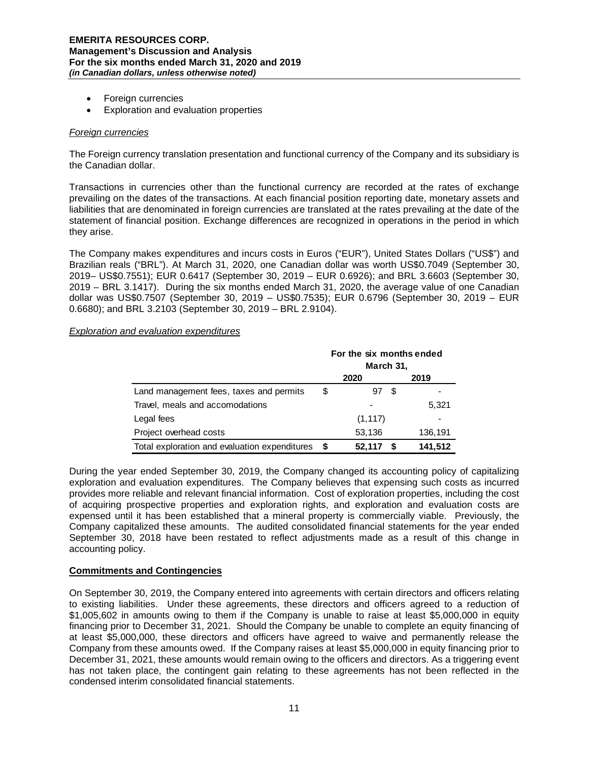- Foreign currencies
- Exploration and evaluation properties

## *Foreign currencies*

The Foreign currency translation presentation and functional currency of the Company and its subsidiary is the Canadian dollar.

Transactions in currencies other than the functional currency are recorded at the rates of exchange prevailing on the dates of the transactions. At each financial position reporting date, monetary assets and liabilities that are denominated in foreign currencies are translated at the rates prevailing at the date of the statement of financial position. Exchange differences are recognized in operations in the period in which they arise.

The Company makes expenditures and incurs costs in Euros ("EUR"), United States Dollars ("US\$") and Brazilian reals ("BRL"). At March 31, 2020, one Canadian dollar was worth US\$0.7049 (September 30, 2019– US\$0.7551); EUR 0.6417 (September 30, 2019 – EUR 0.6926); and BRL 3.6603 (September 30, 2019 – BRL 3.1417). During the six months ended March 31, 2020, the average value of one Canadian dollar was US\$0.7507 (September 30, 2019 – US\$0.7535); EUR 0.6796 (September 30, 2019 – EUR 0.6680); and BRL 3.2103 (September 30, 2019 – BRL 2.9104).

### *Exploration and evaluation expenditures*

|                                               | For the six months ended<br>March 31, |          |      |         |  |  |
|-----------------------------------------------|---------------------------------------|----------|------|---------|--|--|
|                                               |                                       | 2020     |      | 2019    |  |  |
| Land management fees, taxes and permits       | \$                                    | 97       | - \$ |         |  |  |
| Travel, meals and accomodations               |                                       |          |      | 5,321   |  |  |
| Legal fees                                    |                                       | (1, 117) |      |         |  |  |
| Project overhead costs                        |                                       | 53,136   |      | 136,191 |  |  |
| Total exploration and evaluation expenditures |                                       | 52.117   | S    | 141,512 |  |  |

During the year ended September 30, 2019, the Company changed its accounting policy of capitalizing exploration and evaluation expenditures. The Company believes that expensing such costs as incurred provides more reliable and relevant financial information. Cost of exploration properties, including the cost of acquiring prospective properties and exploration rights, and exploration and evaluation costs are expensed until it has been established that a mineral property is commercially viable. Previously, the Company capitalized these amounts. The audited consolidated financial statements for the year ended September 30, 2018 have been restated to reflect adjustments made as a result of this change in accounting policy.

### **Commitments and Contingencies**

On September 30, 2019, the Company entered into agreements with certain directors and officers relating to existing liabilities. Under these agreements, these directors and officers agreed to a reduction of \$1,005,602 in amounts owing to them if the Company is unable to raise at least \$5,000,000 in equity financing prior to December 31, 2021. Should the Company be unable to complete an equity financing of at least \$5,000,000, these directors and officers have agreed to waive and permanently release the Company from these amounts owed. If the Company raises at least \$5,000,000 in equity financing prior to December 31, 2021, these amounts would remain owing to the officers and directors. As a triggering event has not taken place, the contingent gain relating to these agreements has not been reflected in the condensed interim consolidated financial statements.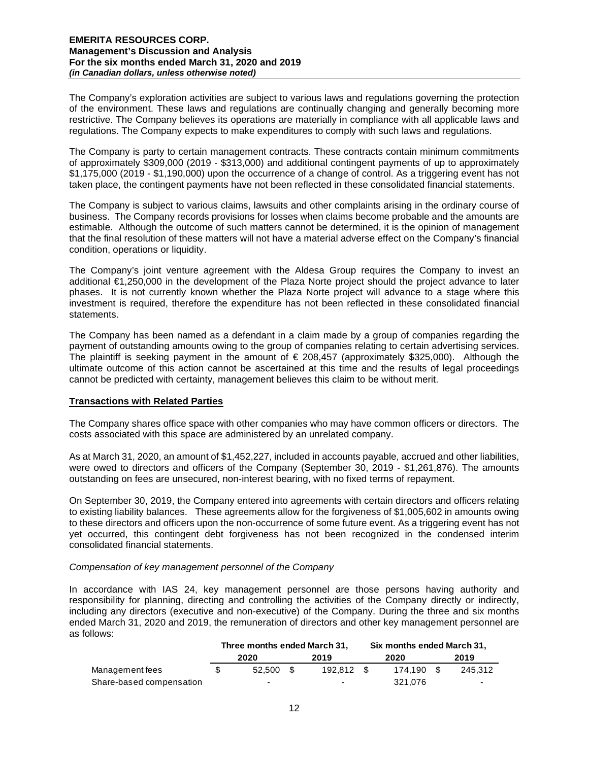The Company's exploration activities are subject to various laws and regulations governing the protection of the environment. These laws and regulations are continually changing and generally becoming more restrictive. The Company believes its operations are materially in compliance with all applicable laws and regulations. The Company expects to make expenditures to comply with such laws and regulations.

The Company is party to certain management contracts. These contracts contain minimum commitments of approximately \$309,000 (2019 - \$313,000) and additional contingent payments of up to approximately \$1,175,000 (2019 - \$1,190,000) upon the occurrence of a change of control. As a triggering event has not taken place, the contingent payments have not been reflected in these consolidated financial statements.

The Company is subject to various claims, lawsuits and other complaints arising in the ordinary course of business. The Company records provisions for losses when claims become probable and the amounts are estimable. Although the outcome of such matters cannot be determined, it is the opinion of management that the final resolution of these matters will not have a material adverse effect on the Company's financial condition, operations or liquidity.

The Company's joint venture agreement with the Aldesa Group requires the Company to invest an additional €1,250,000 in the development of the Plaza Norte project should the project advance to later phases. It is not currently known whether the Plaza Norte project will advance to a stage where this investment is required, therefore the expenditure has not been reflected in these consolidated financial statements.

The Company has been named as a defendant in a claim made by a group of companies regarding the payment of outstanding amounts owing to the group of companies relating to certain advertising services. The plaintiff is seeking payment in the amount of  $\epsilon$  208,457 (approximately \$325,000). Although the ultimate outcome of this action cannot be ascertained at this time and the results of legal proceedings cannot be predicted with certainty, management believes this claim to be without merit.

### **Transactions with Related Parties**

The Company shares office space with other companies who may have common officers or directors. The costs associated with this space are administered by an unrelated company.

As at March 31, 2020, an amount of \$1,452,227, included in accounts payable, accrued and other liabilities, were owed to directors and officers of the Company (September 30, 2019 - \$1,261,876). The amounts outstanding on fees are unsecured, non-interest bearing, with no fixed terms of repayment.

On September 30, 2019, the Company entered into agreements with certain directors and officers relating to existing liability balances. These agreements allow for the forgiveness of \$1,005,602 in amounts owing to these directors and officers upon the non-occurrence of some future event. As a triggering event has not yet occurred, this contingent debt forgiveness has not been recognized in the condensed interim consolidated financial statements.

### *Compensation of key management personnel of the Company*

In accordance with IAS 24, key management personnel are those persons having authority and responsibility for planning, directing and controlling the activities of the Company directly or indirectly, including any directors (executive and non-executive) of the Company. During the three and six months ended March 31, 2020 and 2019, the remuneration of directors and other key management personnel are as follows:

|                          | Three months ended March 31, |                          |      |            | Six months ended March 31, |            |  |         |
|--------------------------|------------------------------|--------------------------|------|------------|----------------------------|------------|--|---------|
|                          |                              | 2020                     |      | 2019       |                            | 2020       |  | 2019    |
| Management fees          |                              | 52.500                   | - SS | 192.812 \$ |                            | 174.190 \$ |  | 245.312 |
| Share-based compensation |                              | $\overline{\phantom{0}}$ |      |            |                            | 321.076    |  |         |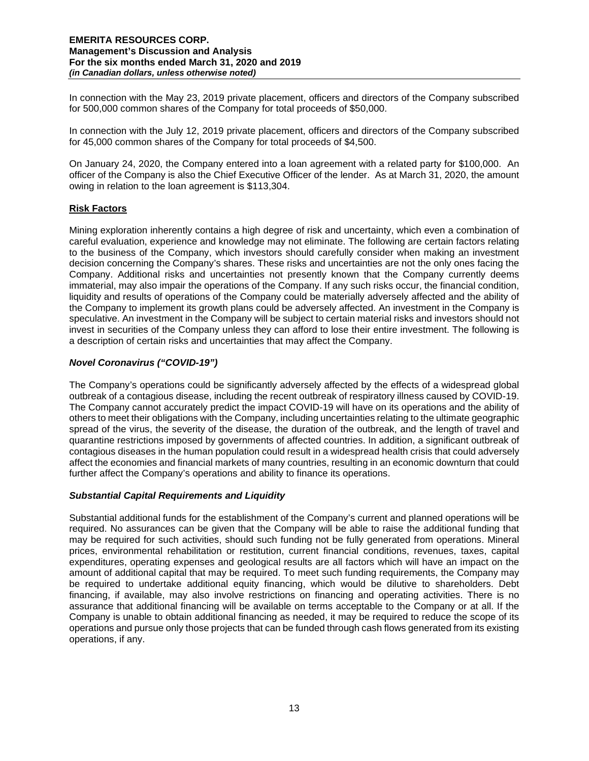In connection with the May 23, 2019 private placement, officers and directors of the Company subscribed for 500,000 common shares of the Company for total proceeds of \$50,000.

In connection with the July 12, 2019 private placement, officers and directors of the Company subscribed for 45,000 common shares of the Company for total proceeds of \$4,500.

On January 24, 2020, the Company entered into a loan agreement with a related party for \$100,000. An officer of the Company is also the Chief Executive Officer of the lender. As at March 31, 2020, the amount owing in relation to the loan agreement is \$113,304.

# **Risk Factors**

Mining exploration inherently contains a high degree of risk and uncertainty, which even a combination of careful evaluation, experience and knowledge may not eliminate. The following are certain factors relating to the business of the Company, which investors should carefully consider when making an investment decision concerning the Company's shares. These risks and uncertainties are not the only ones facing the Company. Additional risks and uncertainties not presently known that the Company currently deems immaterial, may also impair the operations of the Company. If any such risks occur, the financial condition, liquidity and results of operations of the Company could be materially adversely affected and the ability of the Company to implement its growth plans could be adversely affected. An investment in the Company is speculative. An investment in the Company will be subject to certain material risks and investors should not invest in securities of the Company unless they can afford to lose their entire investment. The following is a description of certain risks and uncertainties that may affect the Company.

# *Novel Coronavirus ("COVID-19")*

The Company's operations could be significantly adversely affected by the effects of a widespread global outbreak of a contagious disease, including the recent outbreak of respiratory illness caused by COVID-19. The Company cannot accurately predict the impact COVID-19 will have on its operations and the ability of others to meet their obligations with the Company, including uncertainties relating to the ultimate geographic spread of the virus, the severity of the disease, the duration of the outbreak, and the length of travel and quarantine restrictions imposed by governments of affected countries. In addition, a significant outbreak of contagious diseases in the human population could result in a widespread health crisis that could adversely affect the economies and financial markets of many countries, resulting in an economic downturn that could further affect the Company's operations and ability to finance its operations.

### *Substantial Capital Requirements and Liquidity*

Substantial additional funds for the establishment of the Company's current and planned operations will be required. No assurances can be given that the Company will be able to raise the additional funding that may be required for such activities, should such funding not be fully generated from operations. Mineral prices, environmental rehabilitation or restitution, current financial conditions, revenues, taxes, capital expenditures, operating expenses and geological results are all factors which will have an impact on the amount of additional capital that may be required. To meet such funding requirements, the Company may be required to undertake additional equity financing, which would be dilutive to shareholders. Debt financing, if available, may also involve restrictions on financing and operating activities. There is no assurance that additional financing will be available on terms acceptable to the Company or at all. If the Company is unable to obtain additional financing as needed, it may be required to reduce the scope of its operations and pursue only those projects that can be funded through cash flows generated from its existing operations, if any.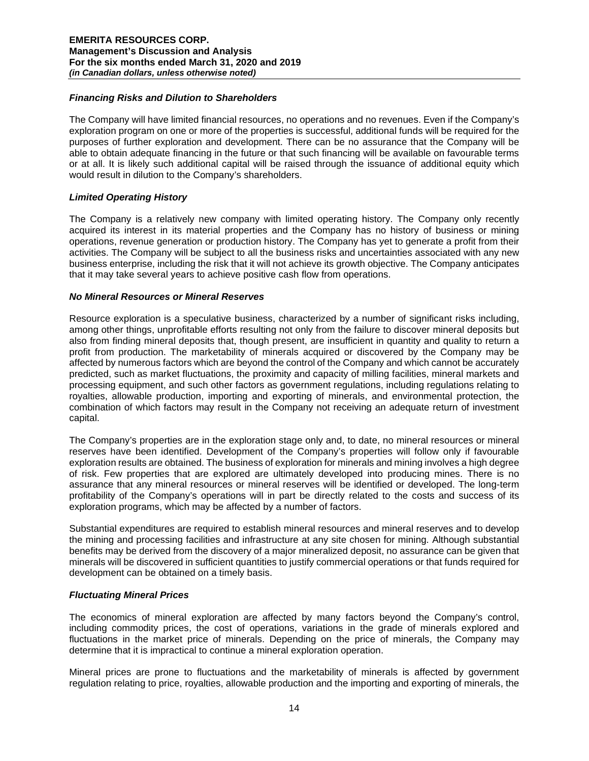### *Financing Risks and Dilution to Shareholders*

The Company will have limited financial resources, no operations and no revenues. Even if the Company's exploration program on one or more of the properties is successful, additional funds will be required for the purposes of further exploration and development. There can be no assurance that the Company will be able to obtain adequate financing in the future or that such financing will be available on favourable terms or at all. It is likely such additional capital will be raised through the issuance of additional equity which would result in dilution to the Company's shareholders.

# *Limited Operating History*

The Company is a relatively new company with limited operating history. The Company only recently acquired its interest in its material properties and the Company has no history of business or mining operations, revenue generation or production history. The Company has yet to generate a profit from their activities. The Company will be subject to all the business risks and uncertainties associated with any new business enterprise, including the risk that it will not achieve its growth objective. The Company anticipates that it may take several years to achieve positive cash flow from operations.

# *No Mineral Resources or Mineral Reserves*

Resource exploration is a speculative business, characterized by a number of significant risks including, among other things, unprofitable efforts resulting not only from the failure to discover mineral deposits but also from finding mineral deposits that, though present, are insufficient in quantity and quality to return a profit from production. The marketability of minerals acquired or discovered by the Company may be affected by numerous factors which are beyond the control of the Company and which cannot be accurately predicted, such as market fluctuations, the proximity and capacity of milling facilities, mineral markets and processing equipment, and such other factors as government regulations, including regulations relating to royalties, allowable production, importing and exporting of minerals, and environmental protection, the combination of which factors may result in the Company not receiving an adequate return of investment capital.

The Company's properties are in the exploration stage only and, to date, no mineral resources or mineral reserves have been identified. Development of the Company's properties will follow only if favourable exploration results are obtained. The business of exploration for minerals and mining involves a high degree of risk. Few properties that are explored are ultimately developed into producing mines. There is no assurance that any mineral resources or mineral reserves will be identified or developed. The long-term profitability of the Company's operations will in part be directly related to the costs and success of its exploration programs, which may be affected by a number of factors.

Substantial expenditures are required to establish mineral resources and mineral reserves and to develop the mining and processing facilities and infrastructure at any site chosen for mining. Although substantial benefits may be derived from the discovery of a major mineralized deposit, no assurance can be given that minerals will be discovered in sufficient quantities to justify commercial operations or that funds required for development can be obtained on a timely basis.

### *Fluctuating Mineral Prices*

The economics of mineral exploration are affected by many factors beyond the Company's control, including commodity prices, the cost of operations, variations in the grade of minerals explored and fluctuations in the market price of minerals. Depending on the price of minerals, the Company may determine that it is impractical to continue a mineral exploration operation.

Mineral prices are prone to fluctuations and the marketability of minerals is affected by government regulation relating to price, royalties, allowable production and the importing and exporting of minerals, the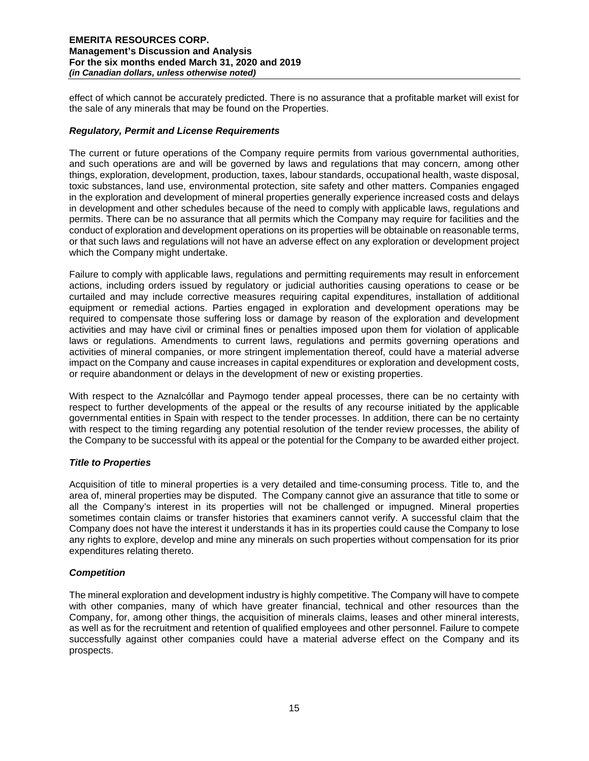effect of which cannot be accurately predicted. There is no assurance that a profitable market will exist for the sale of any minerals that may be found on the Properties.

## *Regulatory, Permit and License Requirements*

The current or future operations of the Company require permits from various governmental authorities, and such operations are and will be governed by laws and regulations that may concern, among other things, exploration, development, production, taxes, labour standards, occupational health, waste disposal, toxic substances, land use, environmental protection, site safety and other matters. Companies engaged in the exploration and development of mineral properties generally experience increased costs and delays in development and other schedules because of the need to comply with applicable laws, regulations and permits. There can be no assurance that all permits which the Company may require for facilities and the conduct of exploration and development operations on its properties will be obtainable on reasonable terms, or that such laws and regulations will not have an adverse effect on any exploration or development project which the Company might undertake.

Failure to comply with applicable laws, regulations and permitting requirements may result in enforcement actions, including orders issued by regulatory or judicial authorities causing operations to cease or be curtailed and may include corrective measures requiring capital expenditures, installation of additional equipment or remedial actions. Parties engaged in exploration and development operations may be required to compensate those suffering loss or damage by reason of the exploration and development activities and may have civil or criminal fines or penalties imposed upon them for violation of applicable laws or regulations. Amendments to current laws, regulations and permits governing operations and activities of mineral companies, or more stringent implementation thereof, could have a material adverse impact on the Company and cause increases in capital expenditures or exploration and development costs, or require abandonment or delays in the development of new or existing properties.

With respect to the Aznalcóllar and Paymogo tender appeal processes, there can be no certainty with respect to further developments of the appeal or the results of any recourse initiated by the applicable governmental entities in Spain with respect to the tender processes. In addition, there can be no certainty with respect to the timing regarding any potential resolution of the tender review processes, the ability of the Company to be successful with its appeal or the potential for the Company to be awarded either project.

# *Title to Properties*

Acquisition of title to mineral properties is a very detailed and time-consuming process. Title to, and the area of, mineral properties may be disputed. The Company cannot give an assurance that title to some or all the Company's interest in its properties will not be challenged or impugned. Mineral properties sometimes contain claims or transfer histories that examiners cannot verify. A successful claim that the Company does not have the interest it understands it has in its properties could cause the Company to lose any rights to explore, develop and mine any minerals on such properties without compensation for its prior expenditures relating thereto.

# *Competition*

The mineral exploration and development industry is highly competitive. The Company will have to compete with other companies, many of which have greater financial, technical and other resources than the Company, for, among other things, the acquisition of minerals claims, leases and other mineral interests, as well as for the recruitment and retention of qualified employees and other personnel. Failure to compete successfully against other companies could have a material adverse effect on the Company and its prospects.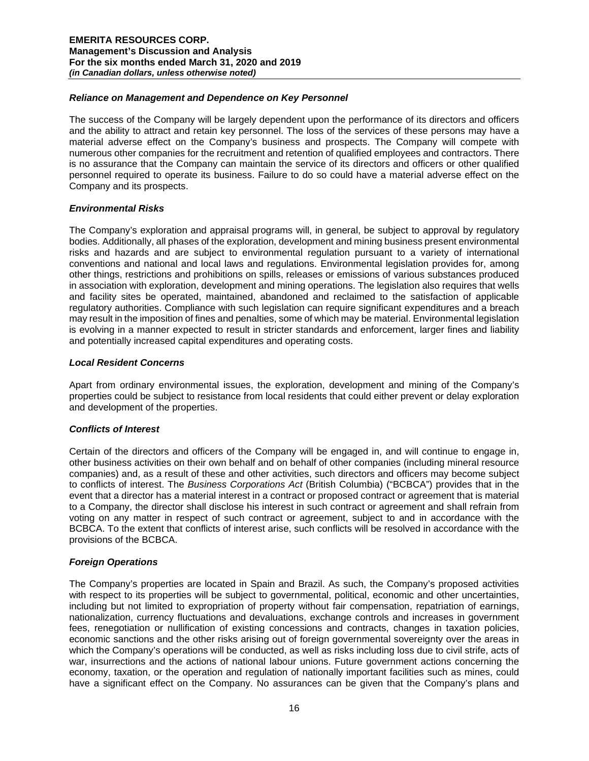## *Reliance on Management and Dependence on Key Personnel*

The success of the Company will be largely dependent upon the performance of its directors and officers and the ability to attract and retain key personnel. The loss of the services of these persons may have a material adverse effect on the Company's business and prospects. The Company will compete with numerous other companies for the recruitment and retention of qualified employees and contractors. There is no assurance that the Company can maintain the service of its directors and officers or other qualified personnel required to operate its business. Failure to do so could have a material adverse effect on the Company and its prospects.

# *Environmental Risks*

The Company's exploration and appraisal programs will, in general, be subject to approval by regulatory bodies. Additionally, all phases of the exploration, development and mining business present environmental risks and hazards and are subject to environmental regulation pursuant to a variety of international conventions and national and local laws and regulations. Environmental legislation provides for, among other things, restrictions and prohibitions on spills, releases or emissions of various substances produced in association with exploration, development and mining operations. The legislation also requires that wells and facility sites be operated, maintained, abandoned and reclaimed to the satisfaction of applicable regulatory authorities. Compliance with such legislation can require significant expenditures and a breach may result in the imposition of fines and penalties, some of which may be material. Environmental legislation is evolving in a manner expected to result in stricter standards and enforcement, larger fines and liability and potentially increased capital expenditures and operating costs.

# *Local Resident Concerns*

Apart from ordinary environmental issues, the exploration, development and mining of the Company's properties could be subject to resistance from local residents that could either prevent or delay exploration and development of the properties.

### *Conflicts of Interest*

Certain of the directors and officers of the Company will be engaged in, and will continue to engage in, other business activities on their own behalf and on behalf of other companies (including mineral resource companies) and, as a result of these and other activities, such directors and officers may become subject to conflicts of interest. The *Business Corporations Act* (British Columbia) ("BCBCA") provides that in the event that a director has a material interest in a contract or proposed contract or agreement that is material to a Company, the director shall disclose his interest in such contract or agreement and shall refrain from voting on any matter in respect of such contract or agreement, subject to and in accordance with the BCBCA. To the extent that conflicts of interest arise, such conflicts will be resolved in accordance with the provisions of the BCBCA.

### *Foreign Operations*

The Company's properties are located in Spain and Brazil. As such, the Company's proposed activities with respect to its properties will be subject to governmental, political, economic and other uncertainties, including but not limited to expropriation of property without fair compensation, repatriation of earnings, nationalization, currency fluctuations and devaluations, exchange controls and increases in government fees, renegotiation or nullification of existing concessions and contracts, changes in taxation policies, economic sanctions and the other risks arising out of foreign governmental sovereignty over the areas in which the Company's operations will be conducted, as well as risks including loss due to civil strife, acts of war, insurrections and the actions of national labour unions. Future government actions concerning the economy, taxation, or the operation and regulation of nationally important facilities such as mines, could have a significant effect on the Company. No assurances can be given that the Company's plans and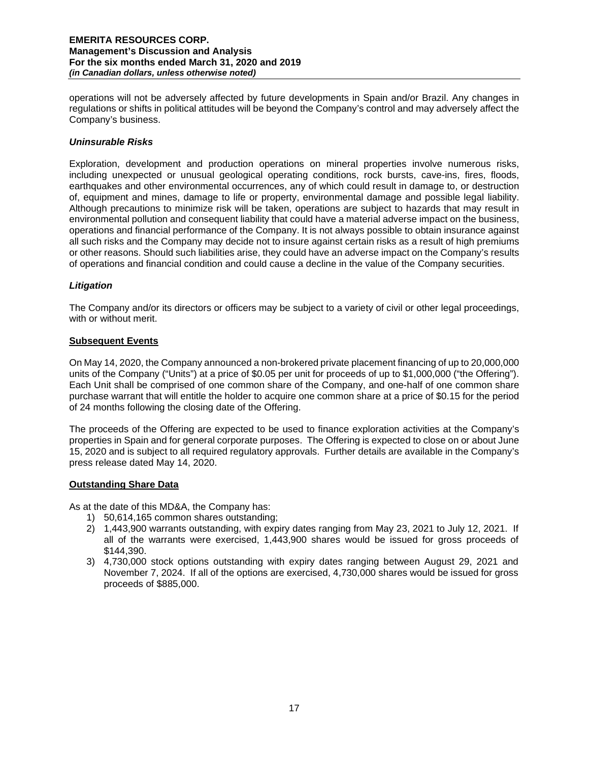operations will not be adversely affected by future developments in Spain and/or Brazil. Any changes in regulations or shifts in political attitudes will be beyond the Company's control and may adversely affect the Company's business.

# *Uninsurable Risks*

Exploration, development and production operations on mineral properties involve numerous risks, including unexpected or unusual geological operating conditions, rock bursts, cave-ins, fires, floods, earthquakes and other environmental occurrences, any of which could result in damage to, or destruction of, equipment and mines, damage to life or property, environmental damage and possible legal liability. Although precautions to minimize risk will be taken, operations are subject to hazards that may result in environmental pollution and consequent liability that could have a material adverse impact on the business, operations and financial performance of the Company. It is not always possible to obtain insurance against all such risks and the Company may decide not to insure against certain risks as a result of high premiums or other reasons. Should such liabilities arise, they could have an adverse impact on the Company's results of operations and financial condition and could cause a decline in the value of the Company securities.

# *Litigation*

The Company and/or its directors or officers may be subject to a variety of civil or other legal proceedings, with or without merit.

# **Subsequent Events**

On May 14, 2020, the Company announced a non-brokered private placement financing of up to 20,000,000 units of the Company ("Units") at a price of \$0.05 per unit for proceeds of up to \$1,000,000 ("the Offering"). Each Unit shall be comprised of one common share of the Company, and one-half of one common share purchase warrant that will entitle the holder to acquire one common share at a price of \$0.15 for the period of 24 months following the closing date of the Offering.

The proceeds of the Offering are expected to be used to finance exploration activities at the Company's properties in Spain and for general corporate purposes. The Offering is expected to close on or about June 15, 2020 and is subject to all required regulatory approvals. Further details are available in the Company's press release dated May 14, 2020.

### **Outstanding Share Data**

As at the date of this MD&A, the Company has:

- 1) 50,614,165 common shares outstanding;
- 2) 1,443,900 warrants outstanding, with expiry dates ranging from May 23, 2021 to July 12, 2021. If all of the warrants were exercised, 1,443,900 shares would be issued for gross proceeds of \$144,390.
- 3) 4,730,000 stock options outstanding with expiry dates ranging between August 29, 2021 and November 7, 2024. If all of the options are exercised, 4,730,000 shares would be issued for gross proceeds of \$885,000.